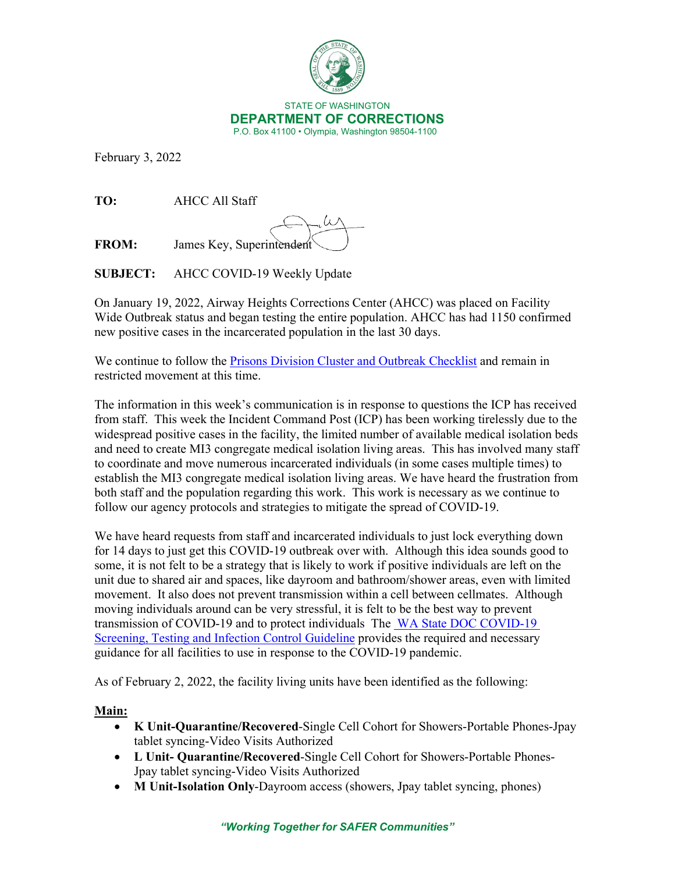

February 3, 2022

**TO:** AHCC All Staff

**FROM:** James Key, Superintendent

**SUBJECT:** AHCC COVID-19 Weekly Update

On January 19, 2022, Airway Heights Corrections Center (AHCC) was placed on Facility Wide Outbreak status and began testing the entire population. AHCC has had 1150 confirmed new positive cases in the incarcerated population in the last 30 days.

We continue to follow the **Prisons Division Cluster and Outbreak Checklist** and remain in restricted movement at this time.

The information in this week's communication is in response to questions the ICP has received from staff. This week the Incident Command Post (ICP) has been working tirelessly due to the widespread positive cases in the facility, the limited number of available medical isolation beds and need to create MI3 congregate medical isolation living areas. This has involved many staff to coordinate and move numerous incarcerated individuals (in some cases multiple times) to establish the MI3 congregate medical isolation living areas. We have heard the frustration from both staff and the population regarding this work. This work is necessary as we continue to follow our agency protocols and strategies to mitigate the spread of COVID-19.

We have heard requests from staff and incarcerated individuals to just lock everything down for 14 days to just get this COVID-19 outbreak over with. Although this idea sounds good to some, it is not felt to be a strategy that is likely to work if positive individuals are left on the unit due to shared air and spaces, like dayroom and bathroom/shower areas, even with limited movement. It also does not prevent transmission within a cell between cellmates. Although moving individuals around can be very stressful, it is felt to be the best way to prevent transmission of COVID-19 and to protect individuals The [WA State DOC COVID-19](https://www.doc.wa.gov/corrections/covid-19/docs/screening-testing-infection-control-guideline.pdf)  [Screening, Testing and Infection Control Guideline](https://www.doc.wa.gov/corrections/covid-19/docs/screening-testing-infection-control-guideline.pdf) provides the required and necessary guidance for all facilities to use in response to the COVID-19 pandemic.

As of February 2, 2022, the facility living units have been identified as the following:

## **Main:**

- **K Unit-Quarantine/Recovered**-Single Cell Cohort for Showers-Portable Phones-Jpay tablet syncing-Video Visits Authorized
- **L Unit- Quarantine/Recovered**-Single Cell Cohort for Showers-Portable Phones-Jpay tablet syncing-Video Visits Authorized
- **M Unit-Isolation Only**-Dayroom access (showers, Jpay tablet syncing, phones)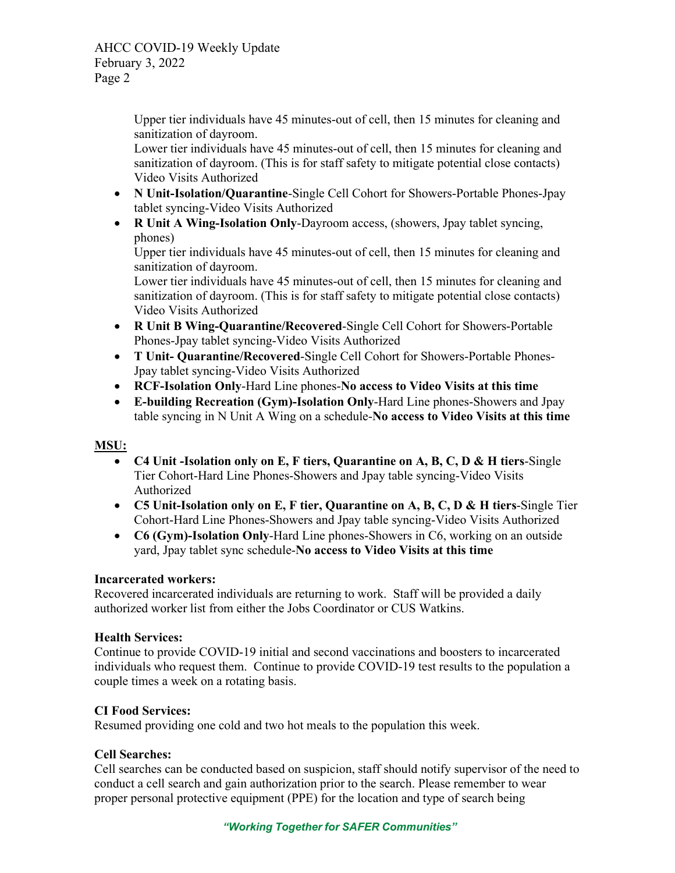AHCC COVID-19 Weekly Update February 3, 2022 Page 2

> Upper tier individuals have 45 minutes-out of cell, then 15 minutes for cleaning and sanitization of dayroom.

> Lower tier individuals have 45 minutes-out of cell, then 15 minutes for cleaning and sanitization of dayroom. (This is for staff safety to mitigate potential close contacts) Video Visits Authorized

- **N Unit-Isolation/Quarantine**-Single Cell Cohort for Showers-Portable Phones-Jpay tablet syncing-Video Visits Authorized
- **R Unit A Wing-Isolation Only**-Dayroom access, (showers, Jpay tablet syncing, phones)

Upper tier individuals have 45 minutes-out of cell, then 15 minutes for cleaning and sanitization of dayroom.

Lower tier individuals have 45 minutes-out of cell, then 15 minutes for cleaning and sanitization of dayroom. (This is for staff safety to mitigate potential close contacts) Video Visits Authorized

- **R Unit B Wing-Quarantine/Recovered**-Single Cell Cohort for Showers-Portable Phones-Jpay tablet syncing-Video Visits Authorized
- **T Unit- Quarantine/Recovered**-Single Cell Cohort for Showers-Portable Phones-Jpay tablet syncing-Video Visits Authorized
- **RCF-Isolation Only**-Hard Line phones-**No access to Video Visits at this time**
- **E-building Recreation (Gym)-Isolation Only**-Hard Line phones-Showers and Jpay table syncing in N Unit A Wing on a schedule-**No access to Video Visits at this time**

# **MSU:**

- **C4 Unit -Isolation only on E, F tiers, Quarantine on A, B, C, D & H tiers**-Single Tier Cohort-Hard Line Phones-Showers and Jpay table syncing-Video Visits Authorized
- **C5 Unit-Isolation only on E, F tier, Quarantine on A, B, C, D & H tiers**-Single Tier Cohort-Hard Line Phones-Showers and Jpay table syncing-Video Visits Authorized
- **C6 (Gym)-Isolation Only**-Hard Line phones-Showers in C6, working on an outside yard, Jpay tablet sync schedule-**No access to Video Visits at this time**

## **Incarcerated workers:**

Recovered incarcerated individuals are returning to work. Staff will be provided a daily authorized worker list from either the Jobs Coordinator or CUS Watkins.

## **Health Services:**

Continue to provide COVID-19 initial and second vaccinations and boosters to incarcerated individuals who request them. Continue to provide COVID-19 test results to the population a couple times a week on a rotating basis.

## **CI Food Services:**

Resumed providing one cold and two hot meals to the population this week.

# **Cell Searches:**

Cell searches can be conducted based on suspicion, staff should notify supervisor of the need to conduct a cell search and gain authorization prior to the search. Please remember to wear proper personal protective equipment (PPE) for the location and type of search being